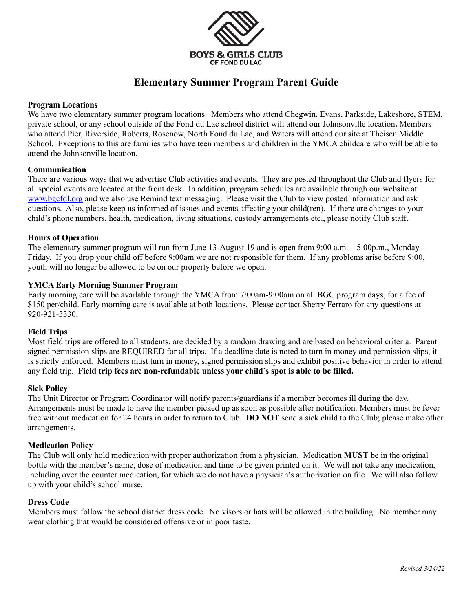

# **Elementary Summer Program Parent Guide**

## **Program Locations**

We have two elementary summer program locations. Members who attend Chegwin, Evans, Parkside, Lakeshore, STEM, private school, or any school outside of the Fond du Lac school district will attend our Johnsonville location**.** Members who attend Pier, Riverside, Roberts, Rosenow, North Fond du Lac, and Waters will attend our site at Theisen Middle School. Exceptions to this are families who have teen members and children in the YMCA childcare who will be able to attend the Johnsonville location.

## **Communication**

There are various ways that we advertise Club activities and events. They are posted throughout the Club and flyers for all special events are located at the front desk. In addition, program schedules are available through our website at [www.bgcfdl.org](http://www.bgcfdl.org) and we also use Remind text messaging. Please visit the Club to view posted information and ask questions. Also, please keep us informed of issues and events affecting your child(ren). If there are changes to your child's phone numbers, health, medication, living situations, custody arrangements etc., please notify Club staff.

## **Hours of Operation**

The elementary summer program will run from June 13-August 19 and is open from 9:00 a.m. – 5:00p.m., Monday – Friday. If you drop your child off before 9:00am we are not responsible for them. If any problems arise before 9:00, youth will no longer be allowed to be on our property before we open.

## **YMCA Early Morning Summer Program**

Early morning care will be available through the YMCA from 7:00am-9:00am on all BGC program days, for a fee of \$150 per/child. Early morning care is available at both locations. Please contact Sherry Ferraro for any questions at 920-921-3330.

#### **Field Trips**

Most field trips are offered to all students, are decided by a random drawing and are based on behavioral criteria. Parent signed permission slips are REQUIRED for all trips. If a deadline date is noted to turn in money and permission slips, it is strictly enforced. Members must turn in money, signed permission slips and exhibit positive behavior in order to attend any field trip. **Field trip fees are non-refundable unless your child's spot is able to be filled.**

#### **Sick Policy**

The Unit Director or Program Coordinator will notify parents/guardians if a member becomes ill during the day. Arrangements must be made to have the member picked up as soon as possible after notification. Members must be fever free without medication for 24 hours in order to return to Club. **DO NOT** send a sick child to the Club; please make other arrangements.

#### **Medication Policy**

The Club will only hold medication with proper authorization from a physician. Medication **MUST** be in the original bottle with the member's name, dose of medication and time to be given printed on it. We will not take any medication, including over the counter medication, for which we do not have a physician's authorization on file. We will also follow up with your child's school nurse.

#### **Dress Code**

Members must follow the school district dress code. No visors or hats will be allowed in the building. No member may wear clothing that would be considered offensive or in poor taste.